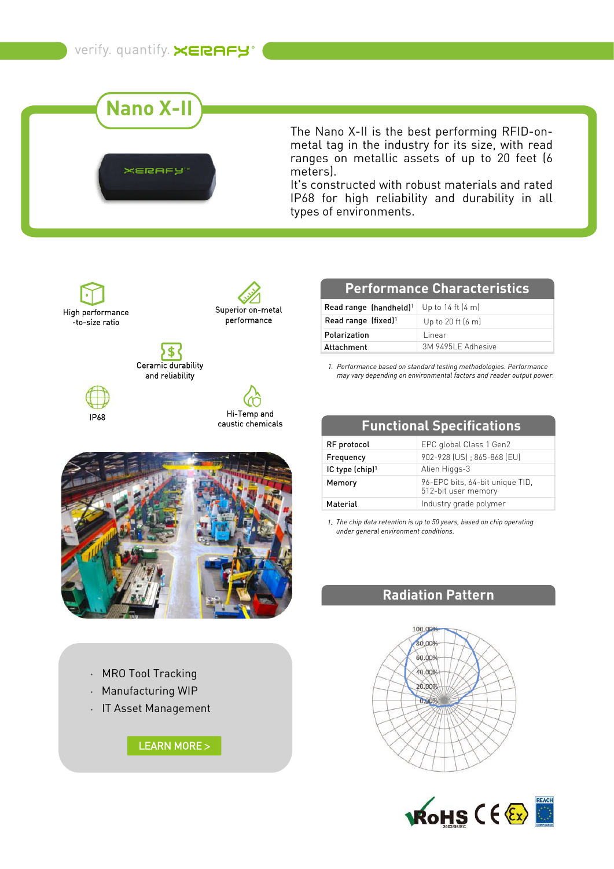# **Nano X-II**

**XERAFY** 

The Nano X-II is the best performing RFID-onmetal tag in the industry for its size, with read ranges on metallic assets of up to 20 feet (6 meters).

It's constructed with robust materials and rated IP68 for high reliability and durability in all types of environments.



Superior on-metal performance

Ceramic durability and reliability







# **Performance Characteristics**

| <b>Read range (handheld)</b> <sup>1</sup> Up to 14 ft $(4 \text{ m})$ |                             |
|-----------------------------------------------------------------------|-----------------------------|
| Read range $(fixed)^1$                                                | Up to 20 ft $(6 \text{ m})$ |
| Polarization                                                          | Linear                      |
| Attachment                                                            | 3M 9495LF Adhesive          |

*Performance based on standard testing methodologies. Performance 1. may vary depending on environmental factors and reader output power.*

#### **Functional Specifications**

| RF protocol                 | EPC global Class 1 Gen2                                |
|-----------------------------|--------------------------------------------------------|
| Frequency                   | 902-928 (US): 865-868 (EU)                             |
| IC type (chip) <sup>1</sup> | Alien Higgs-3                                          |
| Memory                      | 96-EPC bits, 64-bit unique TID,<br>512-bit user memory |
| Material                    | Industry grade polymer                                 |

*The chip data retention is up to 50 years, based on chip operating 1. under general environment conditions.*

### **Radiation Pattern**





- MRO Tool Tracking
- Manufacturing WIP
- IT Asset Management

[LEARN MORE](https://www.xerafy.com/blog/categories/case-study) >